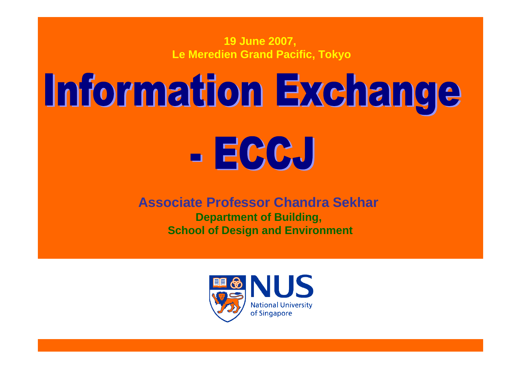**19 June 2007, Le Meredien Grand Pacific, Tokyo**

# Information Exchange

# $E[GC_{v}]$

#### **Associate Professor Chandra Sekhar Department of Building, School of Design and Environment**

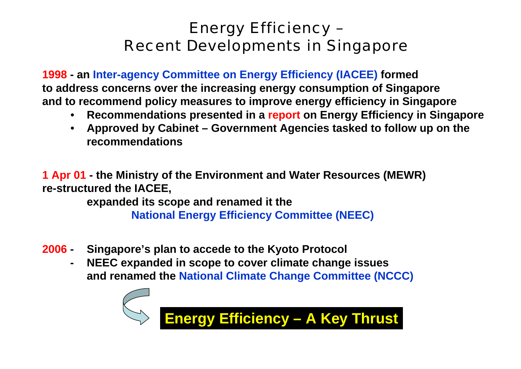## Energy Efficiency – Recent Developments in Singapore

**1998 - an Inter-agency Committee on Energy Efficiency (IACEE) formed to address concerns over the increasing energy consumption of Singapore and to recommend policy measures to improve energy efficiency in Singapore**

- **Recommendations presented in a report on Energy Efficiency in Singapore**
- • **Approved by Cabinet – Government Agencies tasked to follow up on the recommendations**

**1 Apr 01 - the Ministry of the Environment and Water Resources (MEWR) re-structured the IACEE,** 

**expanded its scope and renamed it the** 

**National Energy Efficiency Committee (NEEC)**

- **2006 - Singapore's plan to accede to the Kyoto Protocol** 
	- **- NEEC expanded in scope to cover climate change issues and renamed the National Climate Change Committee (NCCC)**



**Energy Efficiency – A Key Thrust**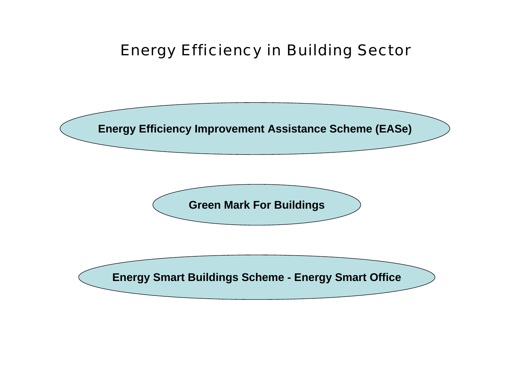### Energy Efficiency in Building Sector

**Energy Efficiency Improvement Assistance Scheme (EASe)**

**Green Mark For Buildings**

**Energy Smart Buildings Scheme - Energy Smart Office**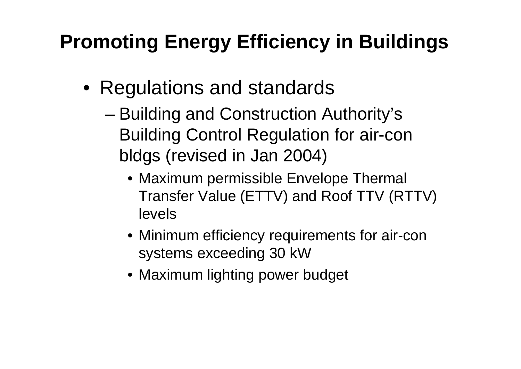# **Promoting Energy Efficiency in Buildings**

- Regulations and standards
	- – Building and Construction Authority's Building Control Regulation for air-con bldgs (revised in Jan 2004)
		- Maximum permissible Envelope Thermal Transfer Value (ETTV) and Roof TTV (RTTV) levels
		- Minimum efficiency requirements for air-con systems exceeding 30 kW
		- Maximum lighting power budget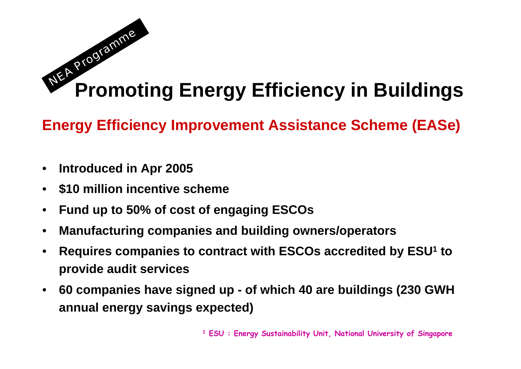#### **Promoting Energy Efficiency in Buildings NEA**  $\boldsymbol{Q}$ rogra  $\boldsymbol{v}$  $\boldsymbol{\mathcal{U}}$ e

**Energy Efficiency Improvement Assistance Scheme (EASe)**

- •**Introduced in Apr 2005**
- •**\$10 million incentive scheme**
- •**Fund up to 50% of cost of engaging ESCOs**
- •**Manufacturing companies and building owners/operators**
- • **Requires companies to contract with ESCOs accredited by ESU1 to provide audit services**
- $\bullet$  **60 companies have signed up - of which 40 are buildings (230 GWH annual energy savings expected)**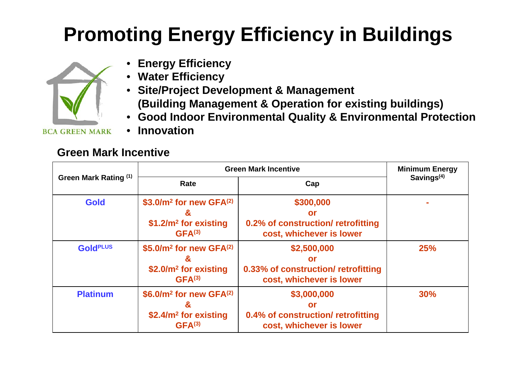# **Promoting Energy Efficiency in Buildings**



- **Energy Efficiency**
- **Water Efficiency**
- **Site/Project Development & Management (Building Management & Operation for existing buildings)**
- **Good Indoor Environmental Quality & Environmental Protection**
- **Innovation**

#### **Green Mark Incentive**

| Green Mark Rating (1) | <b>Green Mark Incentive</b>                                                                       |                                                                                             | <b>Minimum Energy</b> |
|-----------------------|---------------------------------------------------------------------------------------------------|---------------------------------------------------------------------------------------------|-----------------------|
|                       | Rate                                                                                              | Cap                                                                                         | Savings $(4)$         |
| <b>Gold</b>           | \$3.0/ $m^2$ for new GFA $(2)$<br>&<br>$$1.2/m2$ for existing<br>GFA <sup>(3)</sup>               | \$300,000<br><b>or</b><br>0.2% of construction/ retrofitting<br>cost, whichever is lower    |                       |
| <b>GoldPLUS</b>       | \$5.0/ $m^2$ for new GFA $(2)$<br>&<br>$$2.0/m2$ for existing<br>GFA <sup>(3)</sup>               | \$2,500,000<br><b>or</b><br>0.33% of construction/ retrofitting<br>cost, whichever is lower | 25%                   |
| <b>Platinum</b>       | \$6.0/ $m^2$ for new GFA $^{(2)}$<br>&<br>\$2.4/m <sup>2</sup> for existing<br>GFA <sup>(3)</sup> | \$3,000,000<br><b>or</b><br>0.4% of construction/ retrofitting<br>cost, whichever is lower  | 30%                   |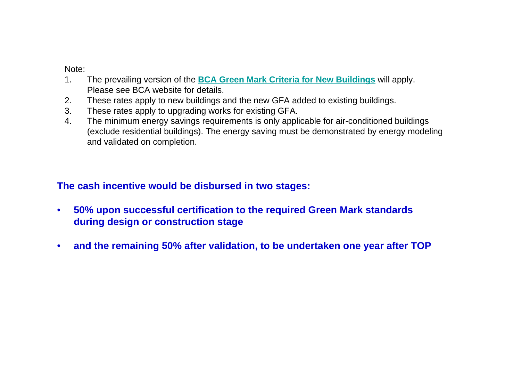Note:

- 1. The prevailing version of the **BCA Green Mark Criteria for New Buildings** will apply. Please see BCA website for details.
- 2. These rates apply to new buildings and the new GFA added to existing buildings.
- 3. These rates apply to upgrading works for existing GFA.
- 4. The minimum energy savings requirements is only applicable for air-conditioned buildings (exclude residential buildings). The energy saving must be demonstrated by energy modeling and validated on completion.

#### **The cash incentive would be disbursed in two stages:**

- • **50% upon successful certification to the required Green Mark standards during design or construction stage**
- •**and the remaining 50% after validation, to be undertaken one year after TOP**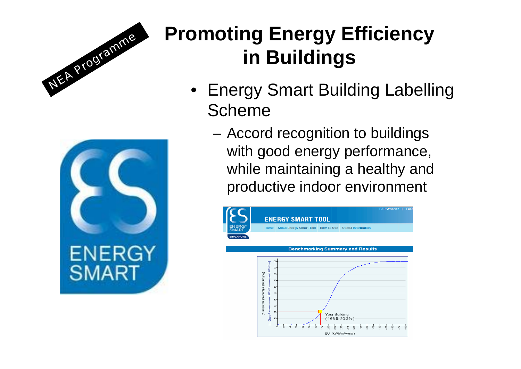



# **Promoting Energy Efficiency in Buildings**

- Energy Smart Building Labelling Scheme
	- Accord recognition to buildings with good energy performance, while maintaining a healthy and productive indoor environment

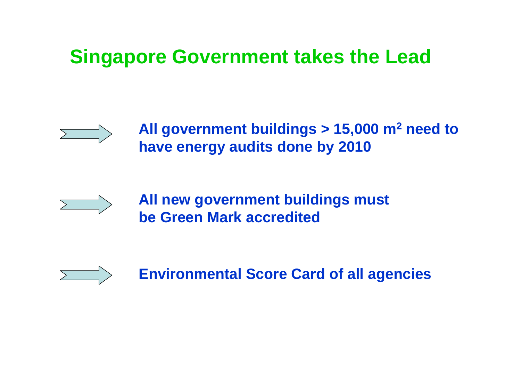# **Singapore Government takes the Lead**



**All government buildings > 15,000 m 2 need to have energy audits done by 2010**



**All new government buildings must be Green Mark accredited**



**Environmental Score Card of all agencies**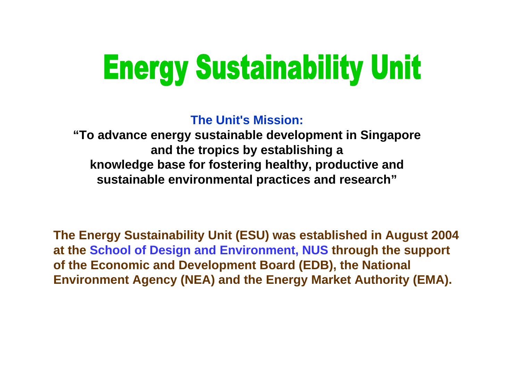# **Energy Sustainability Unit**

**The Unit's Mission:**

**"To advance energy sustainable development in Singapore and the tropics by establishing a knowledge base for fostering healthy, productive and sustainable environmental practices and research"**

**The Energy Sustainability Unit (ESU) was established in August 2004 at the School of Design and Environment, NUS through the support of the Economic and Development Board (EDB), the National Environment Agency (NEA) and the Energy Market Authority (EMA).**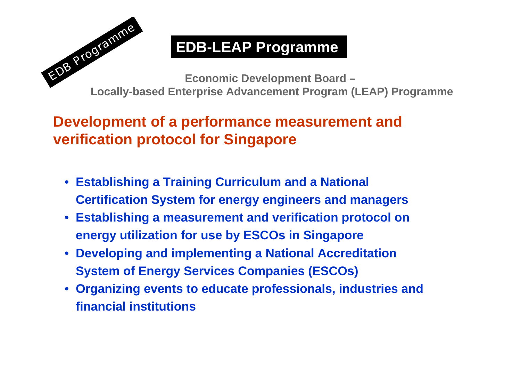

## **EDB-LEAP Programme**

**Economic Development Board – Locally-based Enterprise Advancement Program (LEAP) Programme**

### **Development of a performance measurement and verification protocol for Singapore**

- **Establishing a Training Curriculum and a National Certification System for energy engineers and managers**
- **Establishing a measurement and verification protocol on energy utilization for use by ESCOs in Singapore**
- **Developing and implementing a National Accreditation System of Energy Services Companies (ESCOs)**
- **Organizing events to educate professionals, industries and financial institutions**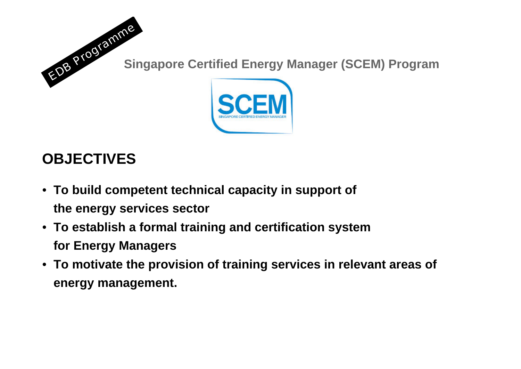

## **OBJECTIVES**

- **To build competent technical capacity in support of the energy services sector**
- **To establish a formal training and certification system for Energy Managers**
- **To motivate the provision of training services in relevant areas of energy management.**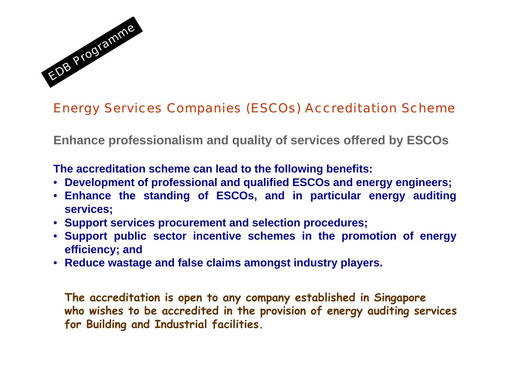

#### Energy Services Companies (ESCOs) Accreditation Scheme

**Enhance professionalism and quality of services offered by ESCOs**

**The accreditation scheme can lead to the following benefits:**

- **Development of professional and qualified ESCOs and energy engineers;**
- **Enhance the standing of ESCOs, and in particular energy auditing services;**
- **Support services procurement and selection procedures;**
- **Support public sector incentive schemes in the promotion of energy efficiency; and**
- **Reduce wastage and false claims amongst industry players.**

**The accreditation is open to any company established in Singapore who wishes to be accredited in the provision of energy auditing services for Building and Industrial facilities.**